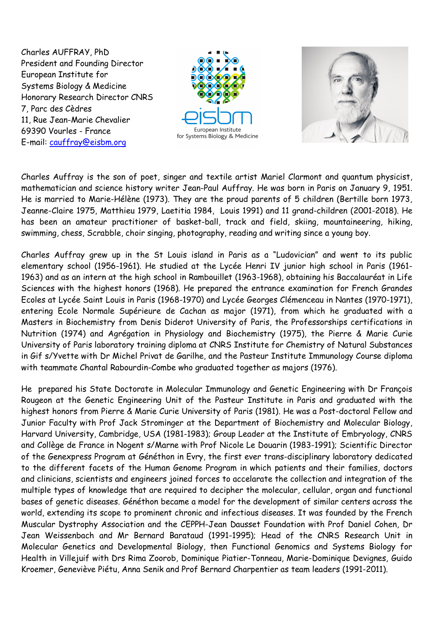Charles AUFFRAY, PhD President and Founding Director European Institute for Systems Biology & Medicine Honorary Research Director CNRS 7, Parc des Cèdres 11, Rue Jean-Marie Chevalier 69390 Vourles - France E-mail: cauffray@eisbm.org





Charles Auffray is the son of poet, singer and textile artist Mariel Clarmont and quantum physicist, mathematician and science history writer Jean-Paul Auffray. He was born in Paris on January 9, 1951. He is married to Marie-Hélène (1973). They are the proud parents of 5 children (Bertille born 1973, Jeanne-Claire 1975, Matthieu 1979, Laetitia 1984, Louis 1991) and 11 grand-children (2001-2018). He has been an amateur practitioner of basket-ball, track and field, skiing, mountaineering, hiking, swimming, chess, Scrabble, choir singing, photography, reading and writing since a young boy.

Charles Auffray grew up in the St Louis island in Paris as a "Ludovician" and went to its public elementary school (1956-1961). He studied at the Lycée Henri IV junior high school in Paris (1961- 1963) and as an intern at the high school in Rambouillet (1963-1968), obtaining his Baccalauréat in Life Sciences with the highest honors (1968). He prepared the entrance examination for French Grandes Ecoles at Lycée Saint Louis in Paris (1968-1970) and Lycée Georges Clémenceau in Nantes (1970-1971), entering Ecole Normale Supérieure de Cachan as major (1971), from which he graduated with a Masters in Biochemistry from Denis Diderot University of Paris, the Professorships certifications in Nutrition (1974) and Agrégation in Physiology and Biochemistry (1975), the Pierre & Marie Curie University of Paris laboratory training diploma at CNRS Institute for Chemistry of Natural Substances in Gif s/Yvette with Dr Michel Privat de Garilhe, and the Pasteur Institute Immunology Course diploma with teammate Chantal Rabourdin-Combe who graduated together as majors (1976).

He prepared his State Doctorate in Molecular Immunology and Genetic Engineering with Dr François Rougeon at the Genetic Engineering Unit of the Pasteur Institute in Paris and graduated with the highest honors from Pierre & Marie Curie University of Paris (1981). He was a Post-doctoral Fellow and Junior Faculty with Prof Jack Strominger at the Department of Biochemistry and Molecular Biology, Harvard University, Cambridge, USA (1981-1983); Group Leader at the Institute of Embryology, CNRS and Collège de France in Nogent s/Marne with Prof Nicole Le Douarin (1983-1991); Scientific Director of the Genexpress Program at Généthon in Evry, the first ever trans-disciplinary laboratory dedicated to the different facets of the Human Genome Program in which patients and their families, doctors and clinicians, scientists and engineers joined forces to accelarate the collection and integration of the multiple types of knowledge that are required to decipher the molecular, cellular, organ and functional bases of genetic diseases. Généthon became a model for the development of similar centers across the world, extending its scope to prominent chronic and infectious diseases. It was founded by the French Muscular Dystrophy Association and the CEPPH-Jean Dausset Foundation with Prof Daniel Cohen, Dr Jean Weissenbach and Mr Bernard Barataud (1991-1995); Head of the CNRS Research Unit in Molecular Genetics and Developmental Biology, then Functional Genomics and Systems Biology for Health in Villejuif with Drs Rima Zoorob, Dominique Piatier-Tonneau, Marie-Dominique Devignes, Guido Kroemer, Geneviève Piétu, Anna Senik and Prof Bernard Charpentier as team leaders (1991-2011).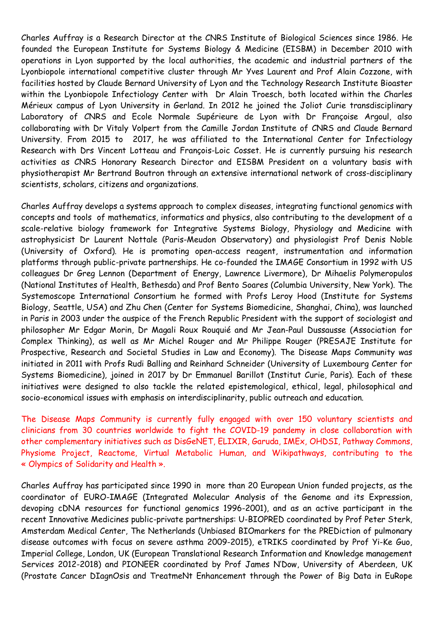Charles Auffray is a Research Director at the CNRS Institute of Biological Sciences since 1986. He founded the European Institute for Systems Biology & Medicine (EISBM) in December 2010 with operations in Lyon supported by the local authorities, the academic and industrial partners of the Lyonbiopole international competitive cluster through Mr Yves Laurent and Prof Alain Cozzone, with facilities hosted by Claude Bernard University of Lyon and the Technology Research Institute Bioaster within the Lyonbiopole Infectiology Center with Dr Alain Troesch, both located within the Charles Mérieux campus of Lyon University in Gerland. In 2012 he joined the Joliot Curie transdisciplinary Laboratory of CNRS and Ecole Normale Supérieure de Lyon with Dr Françoise Argoul, also collaborating with Dr Vitaly Volpert from the Camille Jordan Institute of CNRS and Claude Bernard University. From 2015 to 2017, he was affiliated to the International Center for Infectiology Research with Drs Vincent Lotteau and François-Loic Cosset. He is currently pursuing his research activities as CNRS Honorary Research Director and EISBM President on a voluntary basis with physiotherapist Mr Bertrand Boutron through an extensive international network of cross-disciplinary scientists, scholars, citizens and organizations.

Charles Auffray develops a systems approach to complex diseases, integrating functional genomics with concepts and tools of mathematics, informatics and physics, also contributing to the development of a scale-relative biology framework for Integrative Systems Biology, Physiology and Medicine with astrophysicist Dr Laurent Nottale (Paris-Meudon Observatory) and physiologist Prof Denis Noble (University of Oxford). He is promoting open-access reagent, instrumentation and information platforms through public-private partnerships. He co-founded the IMAGE Consortium in 1992 with US colleagues Dr Greg Lennon (Department of Energy, Lawrence Livermore), Dr Mihaelis Polymeropulos (National Institutes of Health, Bethesda) and Prof Bento Soares (Columbia University, New York). The Systemoscope International Consortium he formed with Profs Leroy Hood (Institute for Systems Biology, Seattle, USA) and Zhu Chen (Center for Systems Biomedicine, Shanghai, China), was launched in Paris in 2003 under the auspice of the French Republic President with the support of sociologist and philosopher Mr Edgar Morin, Dr Magali Roux Rouquié and Mr Jean-Paul Dussausse (Association for Complex Thinking), as well as Mr Michel Rouger and Mr Philippe Rouger (PRESAJE Institute for Prospective, Research and Societal Studies in Law and Economy). The Disease Maps Community was initiated in 2011 with Profs Rudi Balling and Reinhard Schneider (University of Luxembourg Center for Systems Biomedicine), joined in 2017 by Dr Emmanuel Barillot (Institut Curie, Paris). Each of these initiatives were designed to also tackle the related epistemological, ethical, legal, philosophical and socio-economical issues with emphasis on interdisciplinarity, public outreach and education.

The Disease Maps Community is currently fully engaged with over 150 voluntary scientists and clinicians from 30 countries worldwide to fight the COVID-19 pandemy in close collaboration with other complementary initiatives such as DisGeNET, ELIXIR, Garuda, IMEx, OHDSI, Pathway Commons, Physiome Project, Reactome, Virtual Metabolic Human, and Wikipathways, contributing to the « Olympics of Solidarity and Health ».

Charles Auffray has participated since 1990 in more than 20 European Union funded projects, as the coordinator of EURO-IMAGE (Integrated Molecular Analysis of the Genome and its Expression, devoping cDNA resources for functional genomics 1996-2001), and as an active participant in the recent Innovative Medicines public-private partnerships: U-BIOPRED coordinated by Prof Peter Sterk, Amsterdam Medical Center, The Netherlands (Unbiased BIOmarkers for the PREDiction of pulmonary disease outcomes with focus on severe asthma 2009-2015), eTRIKS coordinated by Prof Yi-Ke Guo, Imperial College, London, UK (European Translational Research Information and Knowledge management Services 2012-2018) and PIONEER coordinated by Prof James N'Dow, University of Aberdeen, UK (Prostate Cancer DIagnOsis and TreatmeNt Enhancement through the Power of Big Data in EuRope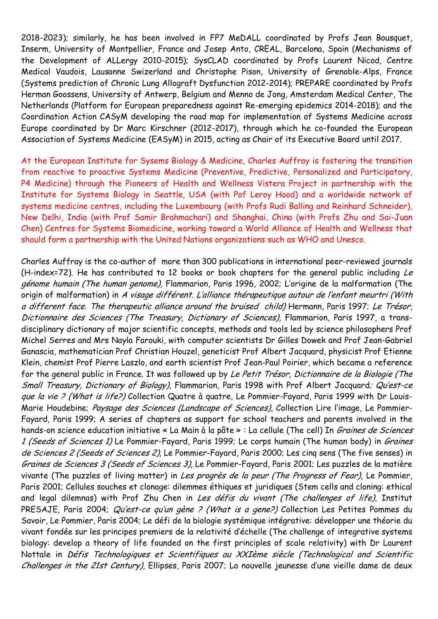2018-2023); similarly, he has been involved in FP7 MeDALL coordinated by Profs Jean Bousquet, Inserm, University of Montpellier, France and Josep Anto, CREAL, Barcelona, Spain (Mechanisms of the Development of ALLergy 2010-2015); SysCLAD coordinated by Profs Laurent Nicod, Centre Medical Vaudois, Lausanne Swizerland and Christophe Pison, University of Grenoble-Alps, France (Systems prediction of Chronic Lung Allograft Dysfunction 2012-2014); PREPARE coordinated by Profs Herman Goossens, University of Antwerp, Belgium and Menno de Jong, Amsterdam Medical Center, The Netherlands (Platform for European preparedness against Re-emerging epidemics 2014-2018); and the Coordination Action CASyM developing the road map for implementation of Systems Medicine across Europe coordinated by Dr Marc Kirschner (2012-2017), through which he co-founded the European Association of Systems Medicine (EASyM) in 2015, acting as Chair of its Executive Board until 2017.

At the European Institute for Sysems Biology & Medicine, Charles Auffray is fostering the transition from reactive to proactive Systems Medicine (Preventive, Predictive, Personalized and Participatory, P4 Medicine) through the Pioneers of Health and Wellness Vistera Project in partnership with the Institute for Systems Biology in Seattle, USA (with Pof Leroy Hood) and a worldwide network of systems medicine centres, including the Luxembourg (with Profs Rudi Balling and Reinhard Schneider), New Delhi, India (with Prof Samir Brahmachari) and Shanghai, China (with Profs Zhu and Sai-Juan Chen) Centres for Systems Biomedicine, working toward a World Alliance of Health and Wellness that should form a partnership with the United Nations organizations such as WHO and Unesco.

Charles Auffray is the co-author of more than 300 publications in international peer-reviewed journals (H-index=72). He has contributed to 12 books or book chapters for the general public including Le génome humain (The human genome), Flammarion, Paris 1996, 2002; L'origine de la malformation (The origin of malformation) in A visage différent. L'alliance thérapeutique autour de l'enfant meurtri (With a different face. The therapeutic alliance around the bruised child) Hermann, Paris 1997; Le Trésor, Dictionnaire des Sciences (The Treasury, Dictionary of Sciences), Flammarion, Paris 1997, a transdisciplinary dictionary of major scientific concepts, methods and tools led by science philosophers Prof Michel Serres and Mrs Nayla Farouki, with computer scientists Dr Gilles Dowek and Prof Jean-Gabriel Ganascia, mathematician Prof Christian Houzel, geneticist Prof Albert Jacquard, physicist Prof Etienne Klein, chemist Prof Pierre Laszlo, and earth scientist Prof Jean-Paul Poirier, which became a reference for the general public in France. It was followed up by Le Petit Trésor, Dictionnaire de la Biologie (The Small Treasury, Dictionary of Biology), Flammarion, Paris 1998 with Prof Albert Jacquard; Qu'est-ce que la vie ? (What is life?) Collection Quatre à quatre, Le Pommier-Fayard, Paris 1999 with Dr Louis-Marie Houdebine; Paysage des Sciences (Landscape of Sciences), Collection Lire l'image, Le Pommier-Fayard, Paris 1999; A series of chapters as support for school teachers and parents involved in the hands-on science education initiative « La Main à la pâte » : La cellule (The cell) In Graines de Sciences 1 (Seeds of Sciences 1) Le Pommier-Fayard, Paris 1999; Le corps humain (The human body) in Graines de Sciences 2 (Seeds of Sciences 2), Le Pommier-Fayard, Paris 2000; Les cinq sens (The five senses) in Graines de Sciences 3 (Seeds of Sciences 3), Le Pommier-Fayard, Paris 2001; Les puzzles de la matière vivante (The puzzles of living matter) in Les progrès de la peur (The Progress of Fear), Le Pommier, Paris 2001; Cellules souches et clonage: dilemmes éthiques et juridiques (Stem cells and cloning: ethical and legal dilemnas) with Prof Zhu Chen in Les défis du vivant (The challenges of life), Institut PRESAJE, Paris 2004; Qu'est-ce qu'un gène ? (What is a gene?) Collection Les Petites Pommes du Savoir, Le Pommier, Paris 2004; Le défi de la biologie systémique intégrative: développer une théorie du vivant fondée sur les principes premiers de la relativité d'échelle (The challenge of integrative systems biology: develop a theory of life founded on the first principles of scale relativity) with Dr Laurent Nottale in Défis Technologiques et Scientifiques au XXIème siècle (Technological and Scientific Challenges in the 21st Century), Ellipses, Paris 2007; La nouvelle jeunesse d'une vieille dame de deux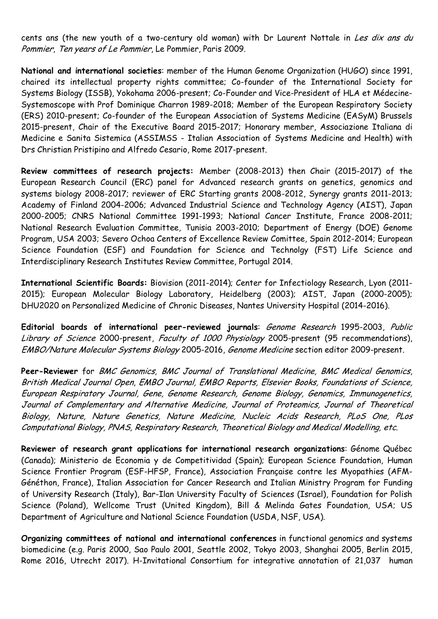cents ans (the new youth of a two-century old woman) with Dr Laurent Nottale in Les dix ans du Pommier, Ten years of Le Pommier, Le Pommier, Paris 2009.

**National and international societies**: member of the Human Genome Organization (HUGO) since 1991, chaired its intellectual property rights committee; Co-founder of the International Society for Systems Biology (ISSB), Yokohama 2006-present; Co-Founder and Vice-President of HLA et Médecine-Systemoscope with Prof Dominique Charron 1989-2018; Member of the European Respiratory Society (ERS) 2010-present; Co-founder of the European Association of Systems Medicine (EASyM) Brussels 2015-present, Chair of the Executive Board 2015-2017; Honorary member, Associazione Italiana di Medicine e Sanita Sistemica (ASSIMSS - Italian Association of Systems Medicine and Health) with Drs Christian Pristipino and Alfredo Cesario, Rome 2017-present.

**Review committees of research projects:** Member (2008-2013) then Chair (2015-2017) of the European Research Council (ERC) panel for Advanced research grants on genetics, genomics and systems biology 2008-2017; reviewer of ERC Starting grants 2008-2012, Synergy grants 2011-2013; Academy of Finland 2004-2006; Advanced Industrial Science and Technology Agency (AIST), Japan 2000-2005; CNRS National Committee 1991-1993; National Cancer Institute, France 2008-2011; National Research Evaluation Committee, Tunisia 2003-2010; Department of Energy (DOE) Genome Program, USA 2003; Severo Ochoa Centers of Excellence Review Comittee, Spain 2012-2014; European Science Foundation (ESF) and Foundation for Science and Technolgy (FST) Life Science and Interdisciplinary Research Institutes Review Committee, Portugal 2014.

**International Scientific Boards:** Biovision (2011-2014); Center for Infectiology Research, Lyon (2011- 2015); European Molecular Biology Laboratory, Heidelberg (2003); AIST, Japan (2000-2005); DHU2020 on Personalized Medicine of Chronic Diseases, Nantes University Hospital (2014-2016).

**Editorial boards of international peer-reviewed journals**: Genome Research 1995-2003, Public Library of Science 2000-present, Faculty of 1000 Physiology 2005-present (95 recommendations), EMBO/Nature Molecular Systems Biology 2005-2016, Genome Medicine section editor 2009-present.

**Peer-Reviewer** for BMC Genomics, BMC Journal of Translational Medicine, BMC Medical Genomics, British Medical Journal Open, EMBO Journal, EMBO Reports, Elsevier Books, Foundations of Science, European Respiratory Journal, Gene, Genome Research, Genome Biology, Genomics, Immunogenetics, Journal of Complementary and Alternative Medicine, Journal of Proteomics, Journal of Theoretical Biology, Nature, Nature Genetics, Nature Medicine, Nucleic Acids Research, PLoS One, PLos Computational Biology, PNAS, Respiratory Research, Theoretical Biology and Medical Modelling, etc.

**Reviewer of research grant applications for international research organizations**: Génome Québec (Canada); Ministerio de Economia y de Competitividad (Spain); European Science Foundation, Human Science Frontier Program (ESF-HFSP, France), Association Française contre les Myopathies (AFM-Généthon, France), Italian Association for Cancer Research and Italian Ministry Program for Funding of University Research (Italy), Bar-Ilan University Faculty of Sciences (Israel), Foundation for Polish Science (Poland), Wellcome Trust (United Kingdom), Bill & Melinda Gates Foundation, USA; US Department of Agriculture and National Science Foundation (USDA, NSF, USA).

**Organizing committees of national and international conferences** in functional genomics and systems biomedicine (e.g. Paris 2000, Sao Paulo 2001, Seattle 2002, Tokyo 2003, Shanghai 2005, Berlin 2015, Rome 2016, Utrecht 2017). H-Invitational Consortium for integrative annotation of 21,037 human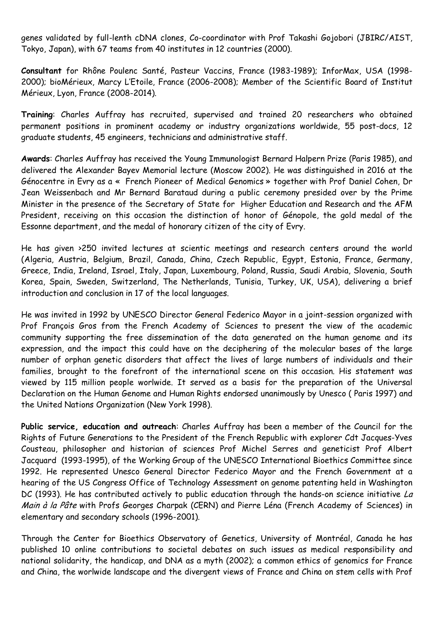genes validated by full-lenth cDNA clones, Co-coordinator with Prof Takashi Gojobori (JBIRC/AIST, Tokyo, Japan), with 67 teams from 40 institutes in 12 countries (2000).

**Consultant** for Rhône Poulenc Santé, Pasteur Vaccins, France (1983-1989); InforMax, USA (1998- 2000); bioMérieux, Marcy L'Etoile, France (2006-2008); Member of the Scientific Board of Institut Mérieux, Lyon, France (2008-2014).

**Training**: Charles Auffray has recruited, supervised and trained 20 researchers who obtained permanent positions in prominent academy or industry organizations worldwide, 55 post-docs, 12 graduate students, 45 engineers, technicians and administrative staff.

**Awards**: Charles Auffray has received the Young Immunologist Bernard Halpern Prize (Paris 1985), and delivered the Alexander Bayev Memorial lecture (Moscow 2002). He was distinguished in 2016 at the Génocentre in Evry as a « French Pioneer of Medical Genomics » together with Prof Daniel Cohen, Dr Jean Weissenbach and Mr Bernard Barataud during a public ceremony presided over by the Prime Minister in the presence of the Secretary of State for Higher Education and Research and the AFM President, receiving on this occasion the distinction of honor of Génopole, the gold medal of the Essonne department, and the medal of honorary citizen of the city of Evry.

He has given >250 invited lectures at scientic meetings and research centers around the world (Algeria, Austria, Belgium, Brazil, Canada, China, Czech Republic, Egypt, Estonia, France, Germany, Greece, India, Ireland, Israel, Italy, Japan, Luxembourg, Poland, Russia, Saudi Arabia, Slovenia, South Korea, Spain, Sweden, Switzerland, The Netherlands, Tunisia, Turkey, UK, USA), delivering a brief introduction and conclusion in 17 of the local languages.

He was invited in 1992 by UNESCO Director General Federico Mayor in a joint-session organized with Prof François Gros from the French Academy of Sciences to present the view of the academic community supporting the free dissemination of the data generated on the human genome and its expression, and the impact this could have on the deciphering of the molecular bases of the large number of orphan genetic disorders that affect the lives of large numbers of individuals and their families, brought to the forefront of the international scene on this occasion. His statement was viewed by 115 million people worlwide. It served as a basis for the preparation of the Universal Declaration on the Human Genome and Human Rights endorsed unanimously by Unesco ( Paris 1997) and the United Nations Organization (New York 1998).

**Public service, education and outreach**: Charles Auffray has been a member of the Council for the Rights of Future Generations to the President of the French Republic with explorer Cdt Jacques-Yves Cousteau, philosopher and historian of sciences Prof Michel Serres and geneticist Prof Albert Jacquard (1993-1995), of the Working Group of the UNESCO International Bioethics Committee since 1992. He represented Unesco General Director Federico Mayor and the French Government at a hearing of the US Congress Office of Technology Assessment on genome patenting held in Washington DC (1993). He has contributed actively to public education through the hands-on science initiative La Main à la Pâte with Profs Georges Charpak (CERN) and Pierre Léna (French Academy of Sciences) in elementary and secondary schools (1996-2001).

Through the Center for Bioethics Observatory of Genetics, University of Montréal, Canada he has published 10 online contributions to societal debates on such issues as medical responsibility and national solidarity, the handicap, and DNA as a myth (2002); a common ethics of genomics for France and China, the worlwide landscape and the divergent views of France and China on stem cells with Prof